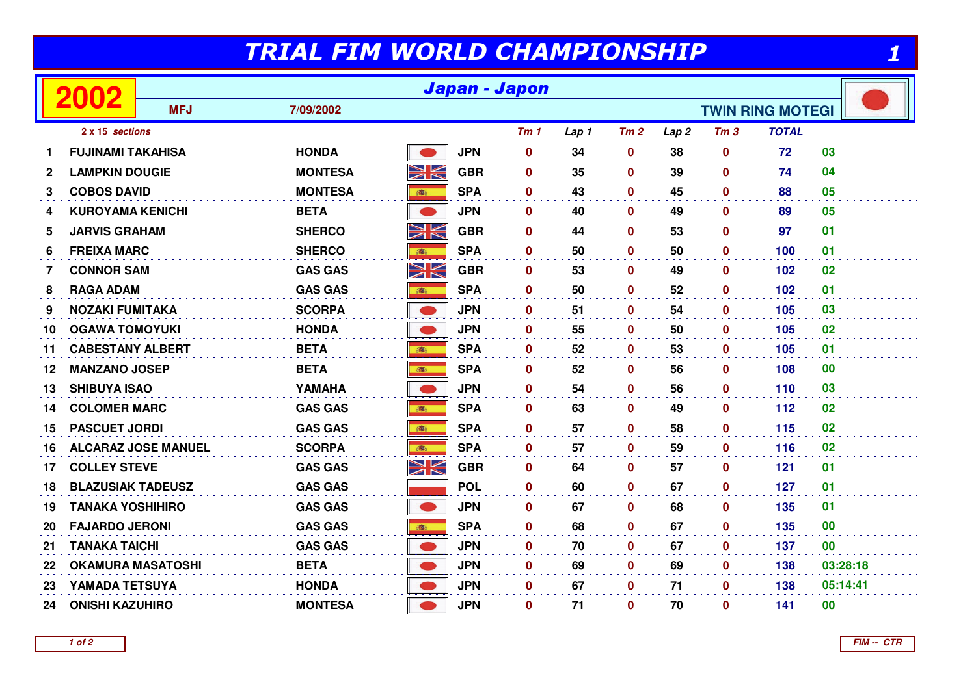## TRIAL FIM WORLD CHAMPIONSHIP

|              | 2002                       | Japan - Japon |                |             |            |             |                         |                 |                  |                 |              |           |
|--------------|----------------------------|---------------|----------------|-------------|------------|-------------|-------------------------|-----------------|------------------|-----------------|--------------|-----------|
|              |                            | <b>MFJ</b>    | 7/09/2002      |             |            |             | <b>TWIN RING MOTEGI</b> |                 |                  |                 |              |           |
|              | 2 x 15 sections            |               |                |             |            | Tm1         | Lap 1                   | Tm <sub>2</sub> | Lap <sub>2</sub> | Tm <sub>3</sub> | <b>TOTAL</b> |           |
|              | <b>FUJINAMI TAKAHISA</b>   |               | <b>HONDA</b>   |             | <b>JPN</b> | $\mathbf 0$ | 34                      | $\mathbf 0$     | 38               | $\mathbf 0$     | 72           | 03        |
| $\mathbf{2}$ | <b>LAMPKIN DOUGIE</b>      |               | <b>MONTESA</b> | NK          | <b>GBR</b> | $\mathbf 0$ | 35                      | $\mathbf 0$     | 39               | $\mathbf 0$     | 74           | 04        |
| 3            | <b>COBOS DAVID</b>         |               | <b>MONTESA</b> | <b>BEER</b> | <b>SPA</b> | $\mathbf 0$ | 43                      | $\mathbf{0}$    | 45               | 0               | 88           | 05        |
| 4            | <b>KUROYAMA KENICHI</b>    |               | <b>BETA</b>    |             | <b>JPN</b> | $\mathbf 0$ | 40                      | $\mathbf 0$     | 49               | $\mathbf{0}$    | 89           | 05        |
| 5            | <b>JARVIS GRAHAM</b>       |               | <b>SHERCO</b>  | NK          | <b>GBR</b> | $\mathbf 0$ | 44                      | $\mathbf 0$     | 53               | $\mathbf 0$     | 97           | 01        |
| 6            | <b>FREIXA MARC</b>         |               | <b>SHERCO</b>  | 瓣           | <b>SPA</b> | $\bf{0}$    | 50                      | $\mathbf 0$     | 50               | $\mathbf 0$     | 100          | 01        |
| 7            | <b>CONNOR SAM</b>          |               | <b>GAS GAS</b> | NK<br>NK    | <b>GBR</b> | $\mathbf 0$ | 53                      | $\mathbf 0$     | 49               | $\mathbf 0$     | 102          | 02        |
| 8            | <b>RAGA ADAM</b>           |               | <b>GAS GAS</b> | 1           | <b>SPA</b> | 0           | 50                      | $\mathbf 0$     | 52               | 0               | 102          | 01        |
| 9            | <b>NOZAKI FUMITAKA</b>     |               | <b>SCORPA</b>  |             | <b>JPN</b> | $\mathbf 0$ | 51                      | $\mathbf 0$     | 54               | $\mathbf 0$     | 105          | 03        |
| 10           | <b>OGAWA TOMOYUKI</b>      |               | <b>HONDA</b>   |             | <b>JPN</b> | $\mathbf 0$ | 55                      | $\mathbf{0}$    | 50               | $\mathbf 0$     | 105          | 02        |
| 11           | <b>CABESTANY ALBERT</b>    |               | <b>BETA</b>    |             | <b>SPA</b> | $\mathbf 0$ | 52                      | $\mathbf 0$     | 53               | $\mathbf 0$     | 105          | 01        |
| 12           | <b>MANZANO JOSEP</b>       |               | <b>BETA</b>    | 藏           | <b>SPA</b> | $\mathbf 0$ | 52                      | $\mathbf 0$     | 56               | $\mathbf 0$     | 108          | $\bf{00}$ |
| 13           | <b>SHIBUYA ISAO</b>        |               | YAMAHA         |             | <b>JPN</b> | $\bf{0}$    | 54                      | $\mathbf{0}$    | 56               | $\mathbf{0}$    | 110          | 03        |
| 14           | <b>COLOMER MARC</b>        |               | <b>GAS GAS</b> | ●           | <b>SPA</b> | $\mathbf 0$ | 63                      | $\mathbf 0$     | 49               | 0               | 112          | 02        |
| 15           | <b>PASCUET JORDI</b>       |               | <b>GAS GAS</b> | <b>BEE</b>  | <b>SPA</b> | $\bf{0}$    | 57                      | $\mathbf 0$     | 58               | 0               | 115          | 02        |
| 16           | <b>ALCARAZ JOSE MANUEL</b> |               | <b>SCORPA</b>  | 游           | <b>SPA</b> | $\mathbf 0$ | 57                      | $\mathbf 0$     | 59               | $\mathbf{0}$    | 116          | 02        |
| 17           | <b>COLLEY STEVE</b>        |               | <b>GAS GAS</b> | XK          | <b>GBR</b> | $\mathbf 0$ | 64                      | $\mathbf 0$     | 57               | $\mathbf 0$     | 121          | 01        |
| 18           | <b>BLAZUSIAK TADEUSZ</b>   |               | <b>GAS GAS</b> |             | <b>POL</b> | 0           | 60                      | $\pmb{0}$       | 67               | 0               | 127          | 01        |
| 19           | <b>TANAKA YOSHIHIRO</b>    |               | <b>GAS GAS</b> |             | <b>JPN</b> | $\mathbf 0$ | 67                      | $\mathbf{0}$    | 68               | 0               | 135          | 01        |
| 20           | <b>FAJARDO JERONI</b>      |               | <b>GAS GAS</b> |             | <b>SPA</b> | $\bf{0}$    | 68                      | $\mathbf 0$     | 67               | 0               | 135          | $\bf{00}$ |
| 21           | <b>TANAKA TAICHI</b>       |               | <b>GAS GAS</b> |             | <b>JPN</b> | 0           | 70                      | $\mathbf 0$     | 67               | $\mathbf 0$     | 137          | $\bf{00}$ |
| 22           | <b>OKAMURA MASATOSHI</b>   |               | <b>BETA</b>    |             | <b>JPN</b> | $\mathbf 0$ | 69                      | $\mathbf 0$     | 69               | 0               | 138          | 03:28:18  |
| 23           | YAMADA TETSUYA             |               | <b>HONDA</b>   |             | <b>JPN</b> | $\bf{0}$    | 67                      | $\mathbf 0$     | 71               | $\mathbf{0}$    | 138          | 05:14:41  |
| 24           | <b>ONISHI KAZUHIRO</b>     |               | <b>MONTESA</b> |             | <b>JPN</b> | $\mathbf 0$ | 71                      | $\bf{0}$        | 70               | $\mathbf 0$     | 141          | $\bf{00}$ |

**1 of 2**

**FIM -- CTR**

1